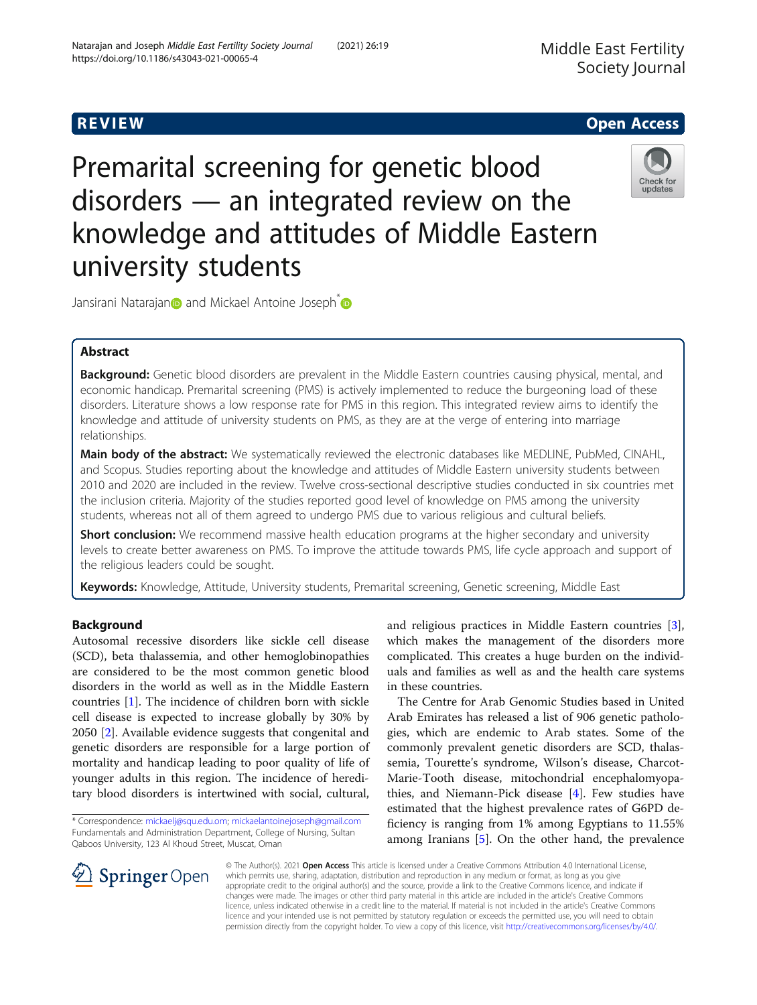# R EVI EW Open Access

Premarital screening for genetic blood disorders — an integrated review on the knowledge and attitudes of Middle Eastern university students



Ja[n](https://orcid.org/0000-0002-9686-7543)sirani Natarajan**o** and Mickael Antoine Joseph<sup>\*</sup>

# Abstract

Background: Genetic blood disorders are prevalent in the Middle Eastern countries causing physical, mental, and economic handicap. Premarital screening (PMS) is actively implemented to reduce the burgeoning load of these disorders. Literature shows a low response rate for PMS in this region. This integrated review aims to identify the knowledge and attitude of university students on PMS, as they are at the verge of entering into marriage relationships.

Main body of the abstract: We systematically reviewed the electronic databases like MEDLINE, PubMed, CINAHL, and Scopus. Studies reporting about the knowledge and attitudes of Middle Eastern university students between 2010 and 2020 are included in the review. Twelve cross-sectional descriptive studies conducted in six countries met the inclusion criteria. Majority of the studies reported good level of knowledge on PMS among the university students, whereas not all of them agreed to undergo PMS due to various religious and cultural beliefs.

**Short conclusion:** We recommend massive health education programs at the higher secondary and university levels to create better awareness on PMS. To improve the attitude towards PMS, life cycle approach and support of the religious leaders could be sought.

Keywords: Knowledge, Attitude, University students, Premarital screening, Genetic screening, Middle East

# Background

Autosomal recessive disorders like sickle cell disease (SCD), beta thalassemia, and other hemoglobinopathies are considered to be the most common genetic blood disorders in the world as well as in the Middle Eastern countries [[1\]](#page-5-0). The incidence of children born with sickle cell disease is expected to increase globally by 30% by 2050 [[2](#page-5-0)]. Available evidence suggests that congenital and genetic disorders are responsible for a large portion of mortality and handicap leading to poor quality of life of younger adults in this region. The incidence of hereditary blood disorders is intertwined with social, cultural,

\* Correspondence: [mickaelj@squ.edu.om;](mailto:mickaelj@squ.edu.om) [mickaelantoinejoseph@gmail.com](mailto:mickaelantoinejoseph@gmail.com) Fundamentals and Administration Department, College of Nursing, Sultan Qaboos University, 123 Al Khoud Street, Muscat, Oman

and religious practices in Middle Eastern countries [\[3](#page-5-0)], which makes the management of the disorders more complicated. This creates a huge burden on the individuals and families as well as and the health care systems in these countries.

The Centre for Arab Genomic Studies based in United Arab Emirates has released a list of 906 genetic pathologies, which are endemic to Arab states. Some of the commonly prevalent genetic disorders are SCD, thalassemia, Tourette's syndrome, Wilson's disease, Charcot-Marie-Tooth disease, mitochondrial encephalomyopathies, and Niemann-Pick disease [[4\]](#page-5-0). Few studies have estimated that the highest prevalence rates of G6PD deficiency is ranging from 1% among Egyptians to 11.55% among Iranians [[5\]](#page-5-0). On the other hand, the prevalence

© The Author(s). 2021 Open Access This article is licensed under a Creative Commons Attribution 4.0 International License, which permits use, sharing, adaptation, distribution and reproduction in any medium or format, as long as you give appropriate credit to the original author(s) and the source, provide a link to the Creative Commons licence, and indicate if changes were made. The images or other third party material in this article are included in the article's Creative Commons licence, unless indicated otherwise in a credit line to the material. If material is not included in the article's Creative Commons licence and your intended use is not permitted by statutory regulation or exceeds the permitted use, you will need to obtain permission directly from the copyright holder. To view a copy of this licence, visit <http://creativecommons.org/licenses/by/4.0/>.

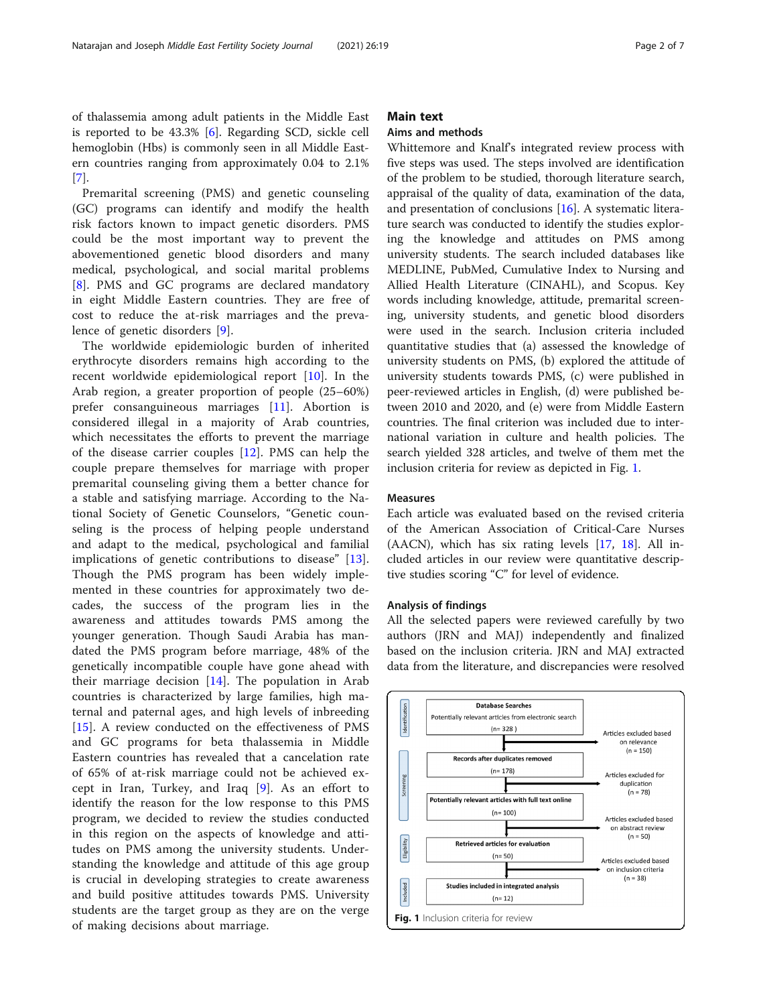of thalassemia among adult patients in the Middle East is reported to be 43.3% [\[6](#page-5-0)]. Regarding SCD, sickle cell hemoglobin (Hbs) is commonly seen in all Middle Eastern countries ranging from approximately 0.04 to 2.1% [[7\]](#page-5-0).

Premarital screening (PMS) and genetic counseling (GC) programs can identify and modify the health risk factors known to impact genetic disorders. PMS could be the most important way to prevent the abovementioned genetic blood disorders and many medical, psychological, and social marital problems [[8\]](#page-5-0). PMS and GC programs are declared mandatory in eight Middle Eastern countries. They are free of cost to reduce the at-risk marriages and the prevalence of genetic disorders [\[9](#page-5-0)].

The worldwide epidemiologic burden of inherited erythrocyte disorders remains high according to the recent worldwide epidemiological report [\[10](#page-5-0)]. In the Arab region, a greater proportion of people (25–60%) prefer consanguineous marriages [\[11](#page-5-0)]. Abortion is considered illegal in a majority of Arab countries, which necessitates the efforts to prevent the marriage of the disease carrier couples [[12\]](#page-5-0). PMS can help the couple prepare themselves for marriage with proper premarital counseling giving them a better chance for a stable and satisfying marriage. According to the National Society of Genetic Counselors, "Genetic counseling is the process of helping people understand and adapt to the medical, psychological and familial implications of genetic contributions to disease" [\[13](#page-5-0)]. Though the PMS program has been widely implemented in these countries for approximately two decades, the success of the program lies in the awareness and attitudes towards PMS among the younger generation. Though Saudi Arabia has mandated the PMS program before marriage, 48% of the genetically incompatible couple have gone ahead with their marriage decision [\[14](#page-5-0)]. The population in Arab countries is characterized by large families, high maternal and paternal ages, and high levels of inbreeding [[15\]](#page-5-0). A review conducted on the effectiveness of PMS and GC programs for beta thalassemia in Middle Eastern countries has revealed that a cancelation rate of 65% of at-risk marriage could not be achieved except in Iran, Turkey, and Iraq [[9\]](#page-5-0). As an effort to identify the reason for the low response to this PMS program, we decided to review the studies conducted in this region on the aspects of knowledge and attitudes on PMS among the university students. Understanding the knowledge and attitude of this age group is crucial in developing strategies to create awareness and build positive attitudes towards PMS. University students are the target group as they are on the verge of making decisions about marriage.

### Main text

#### Aims and methods

Whittemore and Knalf's integrated review process with five steps was used. The steps involved are identification of the problem to be studied, thorough literature search, appraisal of the quality of data, examination of the data, and presentation of conclusions [\[16\]](#page-5-0). A systematic literature search was conducted to identify the studies exploring the knowledge and attitudes on PMS among university students. The search included databases like MEDLINE, PubMed, Cumulative Index to Nursing and Allied Health Literature (CINAHL), and Scopus. Key words including knowledge, attitude, premarital screening, university students, and genetic blood disorders were used in the search. Inclusion criteria included quantitative studies that (a) assessed the knowledge of university students on PMS, (b) explored the attitude of university students towards PMS, (c) were published in peer-reviewed articles in English, (d) were published between 2010 and 2020, and (e) were from Middle Eastern countries. The final criterion was included due to international variation in culture and health policies. The search yielded 328 articles, and twelve of them met the inclusion criteria for review as depicted in Fig. 1.

#### Measures

Each article was evaluated based on the revised criteria of the American Association of Critical-Care Nurses (AACN), which has six rating levels [[17,](#page-5-0) [18\]](#page-5-0). All included articles in our review were quantitative descriptive studies scoring "C" for level of evidence.

#### Analysis of findings

All the selected papers were reviewed carefully by two authors (JRN and MAJ) independently and finalized based on the inclusion criteria. JRN and MAJ extracted data from the literature, and discrepancies were resolved

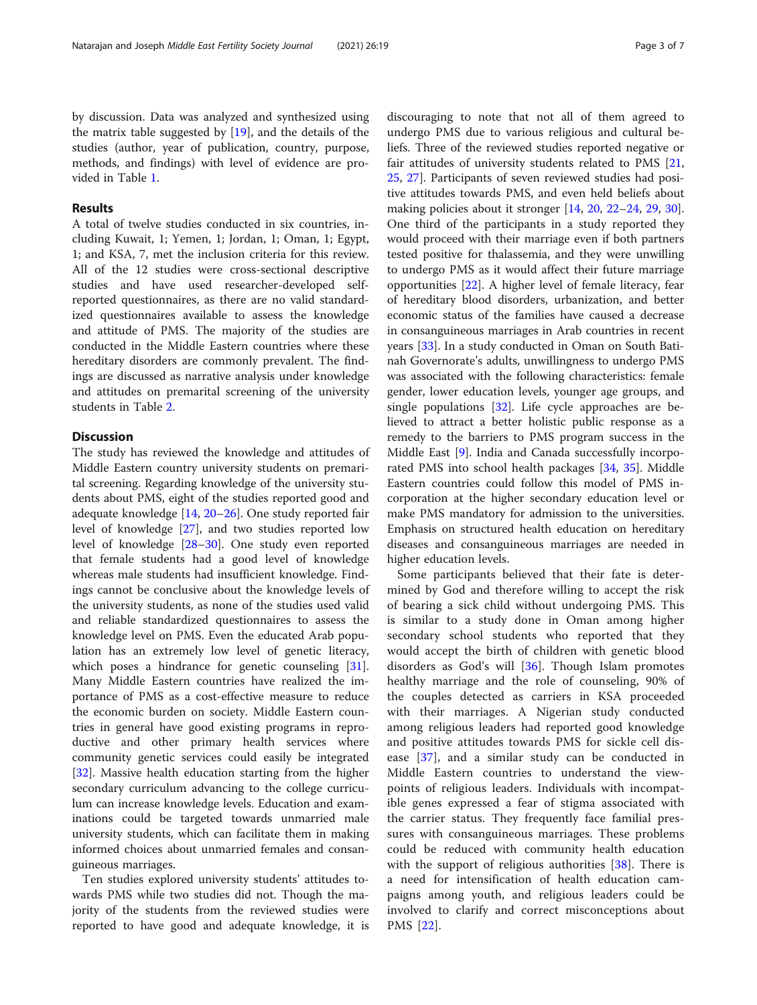by discussion. Data was analyzed and synthesized using the matrix table suggested by [\[19](#page-5-0)], and the details of the studies (author, year of publication, country, purpose, methods, and findings) with level of evidence are provided in Table [1](#page-3-0).

# Results

A total of twelve studies conducted in six countries, including Kuwait, 1; Yemen, 1; Jordan, 1; Oman, 1; Egypt, 1; and KSA, 7, met the inclusion criteria for this review. All of the 12 studies were cross-sectional descriptive studies and have used researcher-developed selfreported questionnaires, as there are no valid standardized questionnaires available to assess the knowledge and attitude of PMS. The majority of the studies are conducted in the Middle Eastern countries where these hereditary disorders are commonly prevalent. The findings are discussed as narrative analysis under knowledge and attitudes on premarital screening of the university students in Table [2.](#page-4-0)

## **Discussion**

The study has reviewed the knowledge and attitudes of Middle Eastern country university students on premarital screening. Regarding knowledge of the university students about PMS, eight of the studies reported good and adequate knowledge [[14](#page-5-0), [20](#page-6-0)–[26](#page-6-0)]. One study reported fair level of knowledge [[27\]](#page-6-0), and two studies reported low level of knowledge [[28](#page-6-0)–[30](#page-6-0)]. One study even reported that female students had a good level of knowledge whereas male students had insufficient knowledge. Findings cannot be conclusive about the knowledge levels of the university students, as none of the studies used valid and reliable standardized questionnaires to assess the knowledge level on PMS. Even the educated Arab population has an extremely low level of genetic literacy, which poses a hindrance for genetic counseling [\[31](#page-6-0)]. Many Middle Eastern countries have realized the importance of PMS as a cost-effective measure to reduce the economic burden on society. Middle Eastern countries in general have good existing programs in reproductive and other primary health services where community genetic services could easily be integrated [[32\]](#page-6-0). Massive health education starting from the higher secondary curriculum advancing to the college curriculum can increase knowledge levels. Education and examinations could be targeted towards unmarried male university students, which can facilitate them in making informed choices about unmarried females and consanguineous marriages.

Ten studies explored university students' attitudes towards PMS while two studies did not. Though the majority of the students from the reviewed studies were reported to have good and adequate knowledge, it is

discouraging to note that not all of them agreed to undergo PMS due to various religious and cultural beliefs. Three of the reviewed studies reported negative or fair attitudes of university students related to PMS [[21](#page-6-0), [25,](#page-6-0) [27](#page-6-0)]. Participants of seven reviewed studies had positive attitudes towards PMS, and even held beliefs about making policies about it stronger [\[14,](#page-5-0) [20](#page-6-0), [22](#page-6-0)–[24](#page-6-0), [29](#page-6-0), [30](#page-6-0)]. One third of the participants in a study reported they would proceed with their marriage even if both partners tested positive for thalassemia, and they were unwilling to undergo PMS as it would affect their future marriage opportunities [\[22\]](#page-6-0). A higher level of female literacy, fear of hereditary blood disorders, urbanization, and better economic status of the families have caused a decrease in consanguineous marriages in Arab countries in recent years [[33](#page-6-0)]. In a study conducted in Oman on South Batinah Governorate's adults, unwillingness to undergo PMS was associated with the following characteristics: female gender, lower education levels, younger age groups, and single populations  $[32]$  $[32]$ . Life cycle approaches are believed to attract a better holistic public response as a remedy to the barriers to PMS program success in the Middle East [\[9](#page-5-0)]. India and Canada successfully incorporated PMS into school health packages [[34,](#page-6-0) [35](#page-6-0)]. Middle Eastern countries could follow this model of PMS incorporation at the higher secondary education level or make PMS mandatory for admission to the universities. Emphasis on structured health education on hereditary diseases and consanguineous marriages are needed in higher education levels.

Some participants believed that their fate is determined by God and therefore willing to accept the risk of bearing a sick child without undergoing PMS. This is similar to a study done in Oman among higher secondary school students who reported that they would accept the birth of children with genetic blood disorders as God's will  $[36]$  $[36]$ . Though Islam promotes healthy marriage and the role of counseling, 90% of the couples detected as carriers in KSA proceeded with their marriages. A Nigerian study conducted among religious leaders had reported good knowledge and positive attitudes towards PMS for sickle cell disease [[37](#page-6-0)], and a similar study can be conducted in Middle Eastern countries to understand the viewpoints of religious leaders. Individuals with incompatible genes expressed a fear of stigma associated with the carrier status. They frequently face familial pressures with consanguineous marriages. These problems could be reduced with community health education with the support of religious authorities [[38\]](#page-6-0). There is a need for intensification of health education campaigns among youth, and religious leaders could be involved to clarify and correct misconceptions about PMS [[22\]](#page-6-0).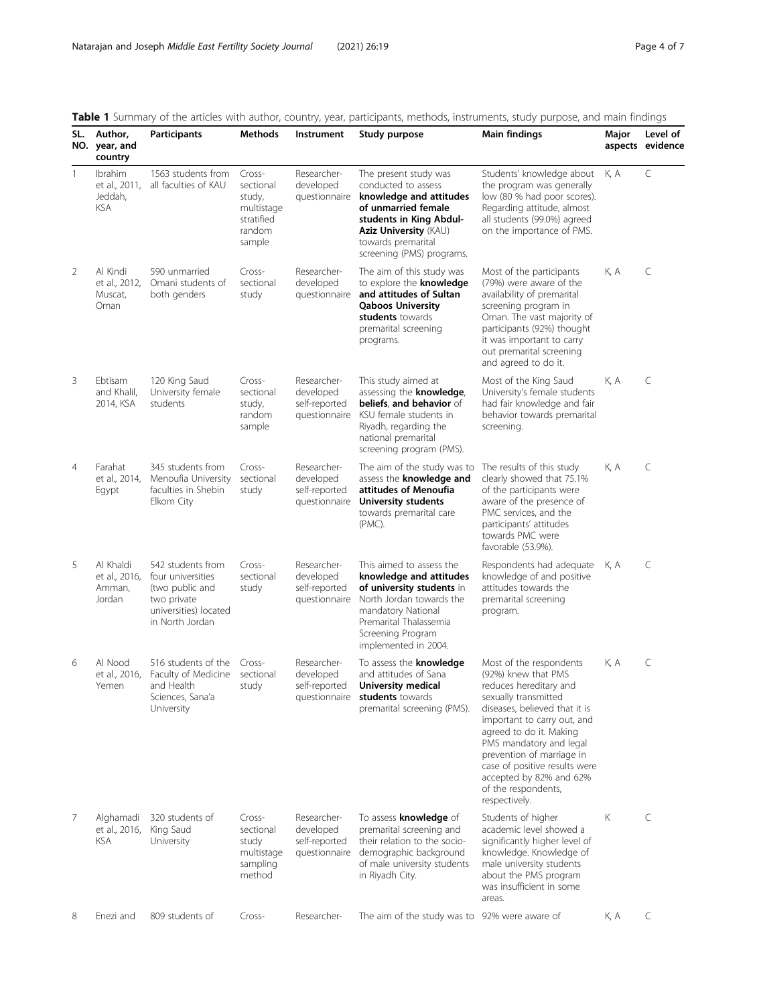<span id="page-3-0"></span>

| Table 1 Summary of the articles with author, country, year, participants, methods, instruments, study purpose, and main findings |  |  |  |
|----------------------------------------------------------------------------------------------------------------------------------|--|--|--|
|----------------------------------------------------------------------------------------------------------------------------------|--|--|--|

| SL.            | Author,<br>NO. year, and<br>country               | <b>Participants</b>                                                                                                  | Methods                                                                       | Instrument                                                 | <b>T</b> barringly of the anterest multiple addition, country, year, participants, methods, mstrantents, study parpose, and multi-midnigs<br>Study purpose                                                          | <b>Main findings</b>                                                                                                                                                                                                                                                                                                                                    | Major | Level of<br>aspects evidence |
|----------------|---------------------------------------------------|----------------------------------------------------------------------------------------------------------------------|-------------------------------------------------------------------------------|------------------------------------------------------------|---------------------------------------------------------------------------------------------------------------------------------------------------------------------------------------------------------------------|---------------------------------------------------------------------------------------------------------------------------------------------------------------------------------------------------------------------------------------------------------------------------------------------------------------------------------------------------------|-------|------------------------------|
| $\mathbf{1}$   | Ibrahim<br>et al., 2011,<br>Jeddah,<br><b>KSA</b> | 1563 students from<br>all faculties of KAU                                                                           | Cross-<br>sectional<br>study,<br>multistage<br>stratified<br>random<br>sample | Researcher-<br>developed                                   | The present study was<br>conducted to assess<br>questionnaire knowledge and attitudes<br>of unmarried female<br>students in King Abdul-<br>Aziz University (KAU)<br>towards premarital<br>screening (PMS) programs. | Students' knowledge about<br>the program was generally<br>low (80 % had poor scores).<br>Regarding attitude, almost<br>all students (99.0%) agreed<br>on the importance of PMS.                                                                                                                                                                         | K, A  | $\mathsf C$                  |
| 2              | Al Kindi<br>et al., 2012,<br>Muscat,<br>Oman      | 590 unmarried<br>Omani students of<br>both genders                                                                   | Cross-<br>sectional<br>study                                                  | Researcher-<br>developed<br>questionnaire                  | The aim of this study was<br>to explore the knowledge<br>and attitudes of Sultan<br><b>Qaboos University</b><br>students towards<br>premarital screening<br>programs.                                               | Most of the participants<br>(79%) were aware of the<br>availability of premarital<br>screening program in<br>Oman. The vast majority of<br>participants (92%) thought<br>it was important to carry<br>out premarital screening<br>and agreed to do it.                                                                                                  | K, A  | C                            |
| 3              | Ebtisam<br>and Khalil.<br>2014, KSA               | 120 King Saud<br>University female<br>students                                                                       | Cross-<br>sectional<br>study,<br>random<br>sample                             | Researcher-<br>developed<br>self-reported<br>questionnaire | This study aimed at<br>assessing the knowledge,<br>beliefs, and behavior of<br>KSU female students in<br>Riyadh, regarding the<br>national premarital<br>screening program (PMS).                                   | Most of the King Saud<br>University's female students<br>had fair knowledge and fair<br>behavior towards premarital<br>screening.                                                                                                                                                                                                                       | K, A  | C                            |
| $\overline{4}$ | Farahat<br>et al., 2014,<br>Egypt                 | 345 students from<br>Menoufia University<br>faculties in Shebin<br>Elkom City                                        | Cross-<br>sectional<br>study                                                  | Researcher-<br>developed<br>self-reported<br>questionnaire | The aim of the study was to<br>assess the <b>knowledge and</b><br>attitudes of Menoufia<br><b>University students</b><br>towards premarital care<br>(PMC).                                                          | The results of this study<br>clearly showed that 75.1%<br>of the participants were<br>aware of the presence of<br>PMC services, and the<br>participants' attitudes<br>towards PMC were<br>favorable (53.9%).                                                                                                                                            | K, A  | C                            |
| 5              | Al Khaldi<br>et al., 2016,<br>Amman,<br>Jordan    | 542 students from<br>four universities<br>(two public and<br>two private<br>universities) located<br>in North Jordan | Cross-<br>sectional<br>study                                                  | Researcher-<br>developed<br>self-reported<br>questionnaire | This aimed to assess the<br>knowledge and attitudes<br>of university students in<br>North Jordan towards the<br>mandatory National<br>Premarital Thalassemia<br>Screening Program<br>implemented in 2004.           | Respondents had adequate<br>knowledge of and positive<br>attitudes towards the<br>premarital screening<br>program.                                                                                                                                                                                                                                      | K, A  | C                            |
| 6              | Al Nood<br>et al., 2016,<br>Yemen                 | 516 students of the<br>Faculty of Medicine<br>and Health<br>Sciences, Sana'a<br>University                           | Cross-<br>sectional<br>study                                                  | Researcher-<br>developed<br>self-reported                  | To assess the <b>knowledge</b><br>and attitudes of Sana<br>University medical<br>questionnaire students towards<br>premarital screening (PMS).                                                                      | Most of the respondents<br>(92%) knew that PMS<br>reduces hereditary and<br>sexually transmitted<br>diseases, believed that it is<br>important to carry out, and<br>agreed to do it. Making<br>PMS mandatory and legal<br>prevention of marriage in<br>case of positive results were<br>accepted by 82% and 62%<br>of the respondents,<br>respectively. | K, A  | C                            |
| 7              | Alghamadi<br>et al., 2016,<br>KSA                 | 320 students of<br>King Saud<br>University                                                                           | Cross-<br>sectional<br>study<br>multistage<br>sampling<br>method              | Researcher-<br>developed<br>self-reported<br>questionnaire | To assess knowledge of<br>premarital screening and<br>their relation to the socio-<br>demographic background<br>of male university students<br>in Riyadh City.                                                      | Students of higher<br>academic level showed a<br>significantly higher level of<br>knowledge. Knowledge of<br>male university students<br>about the PMS program<br>was insufficient in some<br>areas.                                                                                                                                                    | Κ     | C                            |
| 8              | Enezi and                                         | 809 students of                                                                                                      | Cross-                                                                        | Researcher-                                                | The aim of the study was to 92% were aware of                                                                                                                                                                       |                                                                                                                                                                                                                                                                                                                                                         | K, A  | C                            |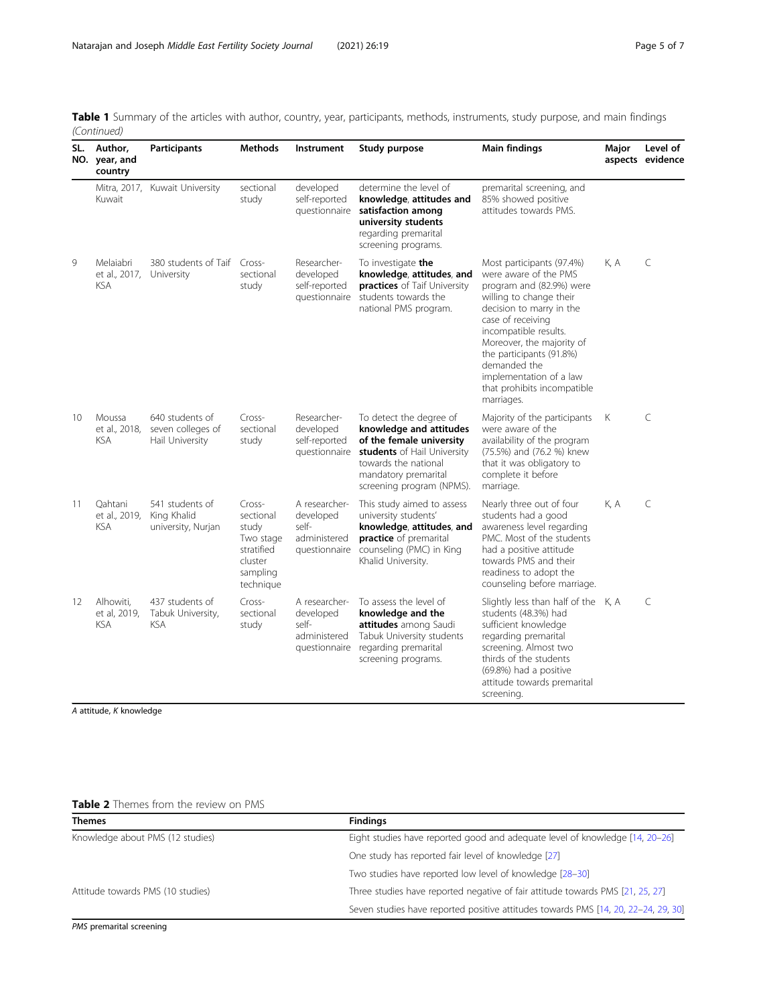| SL. | Author,<br>NO. year, and<br>country      | <b>Participants</b>                                     | <b>Methods</b>                                                                              | Instrument                                                           | Study purpose                                                                                                                                                                              | <b>Main findings</b>                                                                                                                                                                                                                                                                                                                 | Major | Level of<br>aspects evidence |
|-----|------------------------------------------|---------------------------------------------------------|---------------------------------------------------------------------------------------------|----------------------------------------------------------------------|--------------------------------------------------------------------------------------------------------------------------------------------------------------------------------------------|--------------------------------------------------------------------------------------------------------------------------------------------------------------------------------------------------------------------------------------------------------------------------------------------------------------------------------------|-------|------------------------------|
|     | Kuwait                                   | Mitra, 2017, Kuwait University                          | sectional<br>study                                                                          | developed<br>self-reported<br>questionnaire                          | determine the level of<br>knowledge, attitudes and<br>satisfaction among<br>university students<br>regarding premarital<br>screening programs.                                             | premarital screening, and<br>85% showed positive<br>attitudes towards PMS.                                                                                                                                                                                                                                                           |       |                              |
| 9   | Melaiabri<br>et al., 2017,<br><b>KSA</b> | 380 students of Taif Cross-<br>University               | sectional<br>study                                                                          | Researcher-<br>developed<br>self-reported<br>questionnaire           | To investigate the<br>knowledge, attitudes, and<br>practices of Taif University<br>students towards the<br>national PMS program.                                                           | Most participants (97.4%)<br>were aware of the PMS<br>program and (82.9%) were<br>willing to change their<br>decision to marry in the<br>case of receiving<br>incompatible results.<br>Moreover, the majority of<br>the participants (91.8%)<br>demanded the<br>implementation of a law<br>that prohibits incompatible<br>marriages. | K, A  | C                            |
| 10  | Moussa<br>et al., 2018,<br><b>KSA</b>    | 640 students of<br>seven colleges of<br>Hail University | Cross-<br>sectional<br>study                                                                | Researcher-<br>developed<br>self-reported<br>questionnaire           | To detect the degree of<br>knowledge and attitudes<br>of the female university<br>students of Hail University<br>towards the national<br>mandatory premarital<br>screening program (NPMS). | Majority of the participants<br>were aware of the<br>availability of the program<br>(75.5%) and (76.2 %) knew<br>that it was obligatory to<br>complete it before<br>marriage.                                                                                                                                                        | К     | $\mathsf{C}$                 |
| 11  | Oahtani<br>et al., 2019,<br><b>KSA</b>   | 541 students of<br>King Khalid<br>university, Nurjan    | Cross-<br>sectional<br>study<br>Two stage<br>stratified<br>cluster<br>sampling<br>technique | A researcher-<br>developed<br>self-<br>administered<br>questionnaire | This study aimed to assess<br>university students'<br>knowledge, attitudes, and<br>practice of premarital<br>counseling (PMC) in King<br>Khalid University.                                | Nearly three out of four<br>students had a good<br>awareness level regarding<br>PMC. Most of the students<br>had a positive attitude<br>towards PMS and their<br>readiness to adopt the<br>counseling before marriage.                                                                                                               | K, A  | $\subset$                    |
| 12  | Alhowiti,<br>et al, 2019,<br><b>KSA</b>  | 437 students of<br>Tabuk University,<br><b>KSA</b>      | Cross-<br>sectional<br>study                                                                | A researcher-<br>developed<br>self-<br>administered<br>questionnaire | To assess the level of<br>knowledge and the<br>attitudes among Saudi<br>Tabuk University students<br>regarding premarital<br>screening programs.                                           | Slightly less than half of the K, A<br>students (48.3%) had<br>sufficient knowledge<br>regarding premarital<br>screening. Almost two<br>thirds of the students<br>(69.8%) had a positive<br>attitude towards premarital<br>screening.                                                                                                |       | C                            |

<span id="page-4-0"></span>Table 1 Summary of the articles with author, country, year, participants, methods, instruments, study purpose, and main findings (Continued)

A attitude, K knowledge

# Table 2 Themes from the review on PMS

| <b>Themes</b>                     | <b>Findings</b>                                                                    |  |  |
|-----------------------------------|------------------------------------------------------------------------------------|--|--|
| Knowledge about PMS (12 studies)  | Eight studies have reported good and adequate level of knowledge [14, 20–26]       |  |  |
|                                   | One study has reported fair level of knowledge [27]                                |  |  |
|                                   | Two studies have reported low level of knowledge [28-30]                           |  |  |
| Attitude towards PMS (10 studies) | Three studies have reported negative of fair attitude towards PMS [21, 25, 27]     |  |  |
|                                   | Seven studies have reported positive attitudes towards PMS [14, 20, 22-24, 29, 30] |  |  |

PMS premarital screening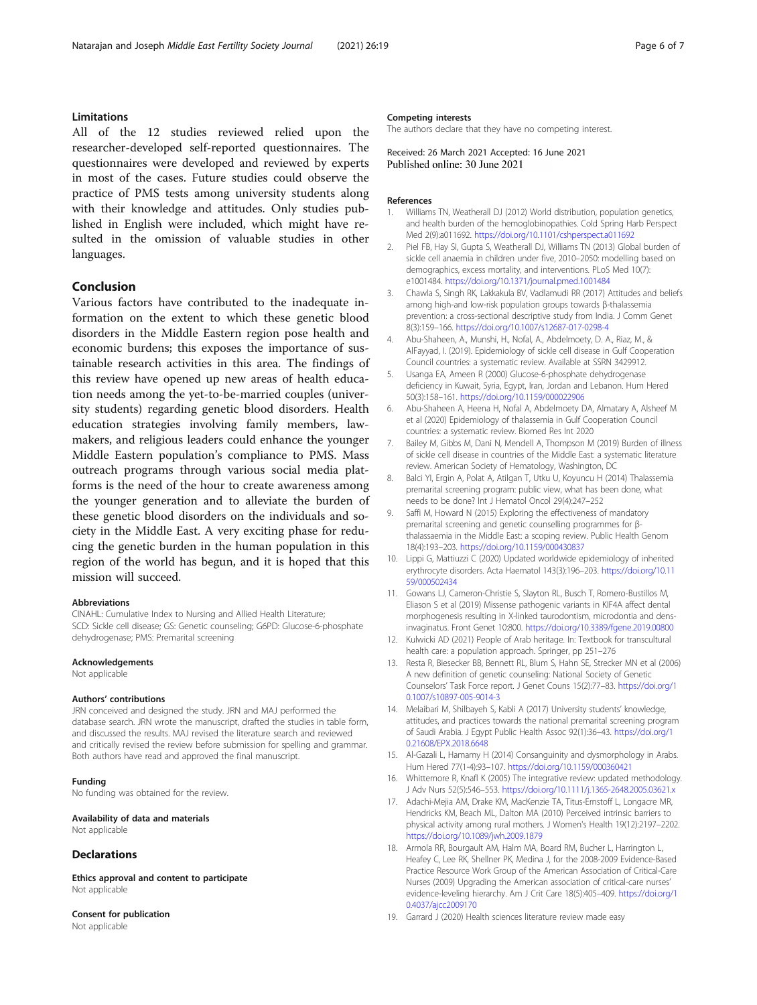### <span id="page-5-0"></span>Limitations

All of the 12 studies reviewed relied upon the researcher-developed self-reported questionnaires. The questionnaires were developed and reviewed by experts in most of the cases. Future studies could observe the practice of PMS tests among university students along with their knowledge and attitudes. Only studies published in English were included, which might have resulted in the omission of valuable studies in other languages.

#### Conclusion

Various factors have contributed to the inadequate information on the extent to which these genetic blood disorders in the Middle Eastern region pose health and economic burdens; this exposes the importance of sustainable research activities in this area. The findings of this review have opened up new areas of health education needs among the yet-to-be-married couples (university students) regarding genetic blood disorders. Health education strategies involving family members, lawmakers, and religious leaders could enhance the younger Middle Eastern population's compliance to PMS. Mass outreach programs through various social media platforms is the need of the hour to create awareness among the younger generation and to alleviate the burden of these genetic blood disorders on the individuals and society in the Middle East. A very exciting phase for reducing the genetic burden in the human population in this region of the world has begun, and it is hoped that this mission will succeed.

#### Abbreviations

CINAHL: Cumulative Index to Nursing and Allied Health Literature; SCD: Sickle cell disease; GS: Genetic counseling; G6PD: Glucose-6-phosphate dehydrogenase; PMS: Premarital screening

#### Acknowledgements

Not applicable

#### Authors' contributions

JRN conceived and designed the study. JRN and MAJ performed the database search. JRN wrote the manuscript, drafted the studies in table form, and discussed the results. MAJ revised the literature search and reviewed and critically revised the review before submission for spelling and grammar. Both authors have read and approved the final manuscript.

#### Funding

No funding was obtained for the review.

Availability of data and materials Not applicable

#### Declarations

Ethics approval and content to participate Not applicable

Consent for publication Not applicable

#### Competing interests

The authors declare that they have no competing interest.

Received: 26 March 2021 Accepted: 16 June 2021<br>Published online: 30 June 2021

#### References

- 1. Williams TN, Weatherall DJ (2012) World distribution, population genetics, and health burden of the hemoglobinopathies. Cold Spring Harb Perspect Med 2(9):a011692. <https://doi.org/10.1101/cshperspect.a011692>
- 2. Piel FB, Hay SI, Gupta S, Weatherall DJ, Williams TN (2013) Global burden of sickle cell anaemia in children under five, 2010–2050: modelling based on demographics, excess mortality, and interventions. PLoS Med 10(7): e1001484. <https://doi.org/10.1371/journal.pmed.1001484>
- 3. Chawla S, Singh RK, Lakkakula BV, Vadlamudi RR (2017) Attitudes and beliefs among high-and low-risk population groups towards β-thalassemia prevention: a cross-sectional descriptive study from India. J Comm Genet 8(3):159–166. <https://doi.org/10.1007/s12687-017-0298-4>
- 4. Abu-Shaheen, A., Munshi, H., Nofal, A., Abdelmoety, D. A., Riaz, M., & AlFayyad, I. (2019). Epidemiology of sickle cell disease in Gulf Cooperation Council countries: a systematic review. Available at SSRN 3429912.
- 5. Usanga EA, Ameen R (2000) Glucose-6-phosphate dehydrogenase deficiency in Kuwait, Syria, Egypt, Iran, Jordan and Lebanon. Hum Hered 50(3):158–161. <https://doi.org/10.1159/000022906>
- 6. Abu-Shaheen A, Heena H, Nofal A, Abdelmoety DA, Almatary A, Alsheef M et al (2020) Epidemiology of thalassemia in Gulf Cooperation Council countries: a systematic review. Biomed Res Int 2020
- 7. Bailey M, Gibbs M, Dani N, Mendell A, Thompson M (2019) Burden of illness of sickle cell disease in countries of the Middle East: a systematic literature review. American Society of Hematology, Washington, DC
- 8. Balci YI, Ergin A, Polat A, Atilgan T, Utku U, Koyuncu H (2014) Thalassemia premarital screening program: public view, what has been done, what needs to be done? Int J Hematol Oncol 29(4):247–252
- 9. Saffi M, Howard N (2015) Exploring the effectiveness of mandatory premarital screening and genetic counselling programmes for βthalassaemia in the Middle East: a scoping review. Public Health Genom 18(4):193–203. <https://doi.org/10.1159/000430837>
- 10. Lippi G, Mattiuzzi C (2020) Updated worldwide epidemiology of inherited erythrocyte disorders. Acta Haematol 143(3):196–203. [https://doi.org/10.11](https://doi.org/10.1159/000502434) [59/000502434](https://doi.org/10.1159/000502434)
- 11. Gowans LJ, Cameron-Christie S, Slayton RL, Busch T, Romero-Bustillos M, Eliason S et al (2019) Missense pathogenic variants in KIF4A affect dental morphogenesis resulting in X-linked taurodontism, microdontia and densinvaginatus. Front Genet 10:800. <https://doi.org/10.3389/fgene.2019.00800>
- 12. Kulwicki AD (2021) People of Arab heritage. In: Textbook for transcultural health care: a population approach. Springer, pp 251–276
- 13. Resta R, Biesecker BB, Bennett RL, Blum S, Hahn SE, Strecker MN et al (2006) A new definition of genetic counseling: National Society of Genetic Counselors' Task Force report. J Genet Couns 15(2):77–83. [https://doi.org/1](https://doi.org/10.1007/s10897-005-9014-3) [0.1007/s10897-005-9014-3](https://doi.org/10.1007/s10897-005-9014-3)
- 14. Melaibari M, Shilbayeh S, Kabli A (2017) University students' knowledge, attitudes, and practices towards the national premarital screening program of Saudi Arabia. J Egypt Public Health Assoc 92(1):36–43. [https://doi.org/1](https://doi.org/10.21608/EPX.2018.6648) [0.21608/EPX.2018.6648](https://doi.org/10.21608/EPX.2018.6648)
- 15. Al-Gazali L, Hamamy H (2014) Consanguinity and dysmorphology in Arabs. Hum Hered 77(1-4):93–107. <https://doi.org/10.1159/000360421>
- 16. Whittemore R, Knafl K (2005) The integrative review: updated methodology. J Adv Nurs 52(5):546–553. <https://doi.org/10.1111/j.1365-2648.2005.03621.x>
- 17. Adachi-Mejia AM, Drake KM, MacKenzie TA, Titus-Ernstoff L, Longacre MR, Hendricks KM, Beach ML, Dalton MA (2010) Perceived intrinsic barriers to physical activity among rural mothers. J Women's Health 19(12):2197–2202. <https://doi.org/10.1089/jwh.2009.1879>
- 18. Armola RR, Bourgault AM, Halm MA, Board RM, Bucher L, Harrington L, Heafey C, Lee RK, Shellner PK, Medina J, for the 2008-2009 Evidence-Based Practice Resource Work Group of the American Association of Critical-Care Nurses (2009) Upgrading the American association of critical-care nurses' evidence-leveling hierarchy. Am J Crit Care 18(5):405–409. [https://doi.org/1](https://doi.org/10.4037/ajcc2009170) [0.4037/ajcc2009170](https://doi.org/10.4037/ajcc2009170)
- 19. Garrard J (2020) Health sciences literature review made easy